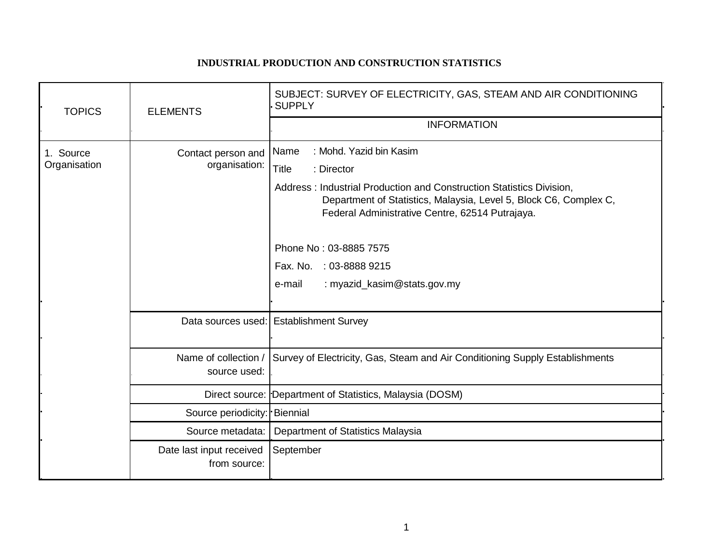## **INDUSTRIAL PRODUCTION AND CONSTRUCTION STATISTICS**

| <b>TOPICS</b>             | <b>ELEMENTS</b>                          | SUBJECT: SURVEY OF ELECTRICITY, GAS, STEAM AND AIR CONDITIONING<br><b>SUPPLY</b>                                                                                                                                                                                                                                                                            |
|---------------------------|------------------------------------------|-------------------------------------------------------------------------------------------------------------------------------------------------------------------------------------------------------------------------------------------------------------------------------------------------------------------------------------------------------------|
|                           |                                          | <b>INFORMATION</b>                                                                                                                                                                                                                                                                                                                                          |
| 1. Source<br>Organisation | Contact person and<br>organisation:      | : Mohd. Yazid bin Kasim<br>Name<br><b>Title</b><br>: Director<br>Address: Industrial Production and Construction Statistics Division,<br>Department of Statistics, Malaysia, Level 5, Block C6, Complex C,<br>Federal Administrative Centre, 62514 Putrajaya.<br>Phone No: 03-8885 7575<br>Fax. No. : 03-8888 9215<br>: myazid_kasim@stats.gov.my<br>e-mail |
|                           |                                          | Data sources used: Establishment Survey                                                                                                                                                                                                                                                                                                                     |
|                           | Name of collection /<br>source used:     | Survey of Electricity, Gas, Steam and Air Conditioning Supply Establishments                                                                                                                                                                                                                                                                                |
|                           |                                          | Direct source: Department of Statistics, Malaysia (DOSM)                                                                                                                                                                                                                                                                                                    |
|                           | Source periodicity: Biennial             |                                                                                                                                                                                                                                                                                                                                                             |
|                           | Source metadata:                         | Department of Statistics Malaysia                                                                                                                                                                                                                                                                                                                           |
|                           | Date last input received<br>from source: | September                                                                                                                                                                                                                                                                                                                                                   |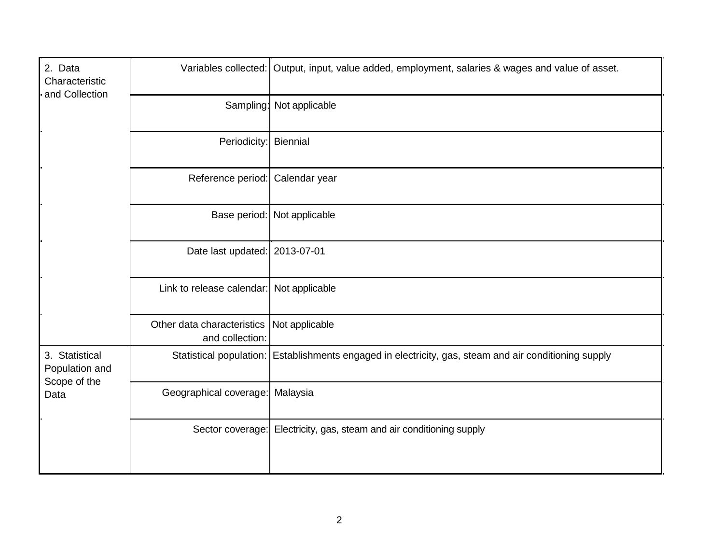| 2. Data<br>Characteristic<br>and Collection              |                                               | Variables collected: Output, input, value added, employment, salaries & wages and value of asset.     |
|----------------------------------------------------------|-----------------------------------------------|-------------------------------------------------------------------------------------------------------|
|                                                          |                                               | Sampling: Not applicable                                                                              |
|                                                          | Periodicity: Biennial                         |                                                                                                       |
|                                                          | Reference period: Calendar year               |                                                                                                       |
|                                                          |                                               | Base period: Not applicable                                                                           |
|                                                          | Date last updated: 2013-07-01                 |                                                                                                       |
|                                                          | Link to release calendar: Not applicable      |                                                                                                       |
|                                                          | Other data characteristics<br>and collection: | Not applicable                                                                                        |
| 3. Statistical<br>Population and<br>Scope of the<br>Data |                                               | Statistical population: Establishments engaged in electricity, gas, steam and air conditioning supply |
|                                                          | Geographical coverage: Malaysia               |                                                                                                       |
|                                                          |                                               | Sector coverage: Electricity, gas, steam and air conditioning supply                                  |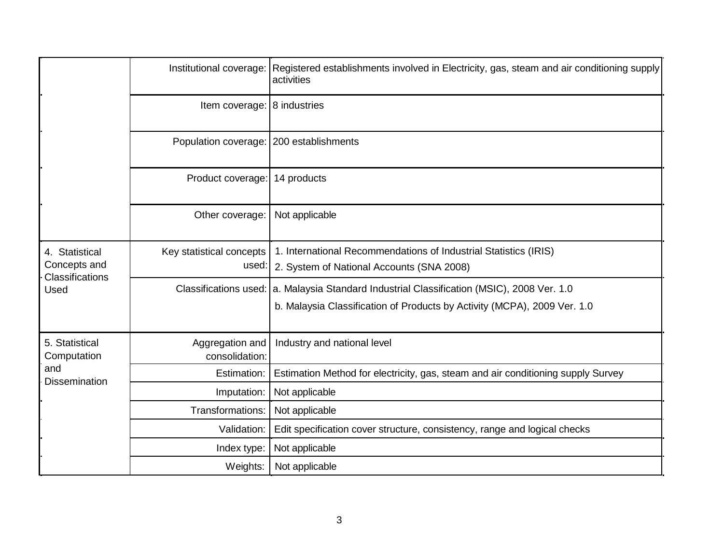|                                                              | Institutional coverage:                   | Registered establishments involved in Electricity, gas, steam and air conditioning supply<br>activities                                          |
|--------------------------------------------------------------|-------------------------------------------|--------------------------------------------------------------------------------------------------------------------------------------------------|
|                                                              | Item coverage: 8 industries               |                                                                                                                                                  |
|                                                              | Population coverage:   200 establishments |                                                                                                                                                  |
|                                                              | Product coverage: 14 products             |                                                                                                                                                  |
|                                                              | Other coverage:                           | Not applicable                                                                                                                                   |
| 4. Statistical<br>Concepts and<br>Classifications<br>Used    | Key statistical concepts<br>used:         | 1. International Recommendations of Industrial Statistics (IRIS)<br>2. System of National Accounts (SNA 2008)                                    |
|                                                              | <b>Classifications used:</b>              | a. Malaysia Standard Industrial Classification (MSIC), 2008 Ver. 1.0<br>b. Malaysia Classification of Products by Activity (MCPA), 2009 Ver. 1.0 |
| 5. Statistical<br>Computation<br>and<br><b>Dissemination</b> | Aggregation and<br>consolidation:         | Industry and national level                                                                                                                      |
|                                                              | Estimation:                               | Estimation Method for electricity, gas, steam and air conditioning supply Survey                                                                 |
|                                                              | Imputation:                               | Not applicable                                                                                                                                   |
|                                                              | Transformations:                          | Not applicable                                                                                                                                   |
|                                                              | Validation:                               | Edit specification cover structure, consistency, range and logical checks                                                                        |
|                                                              | Index type:                               | Not applicable                                                                                                                                   |
|                                                              | Weights:                                  | Not applicable                                                                                                                                   |